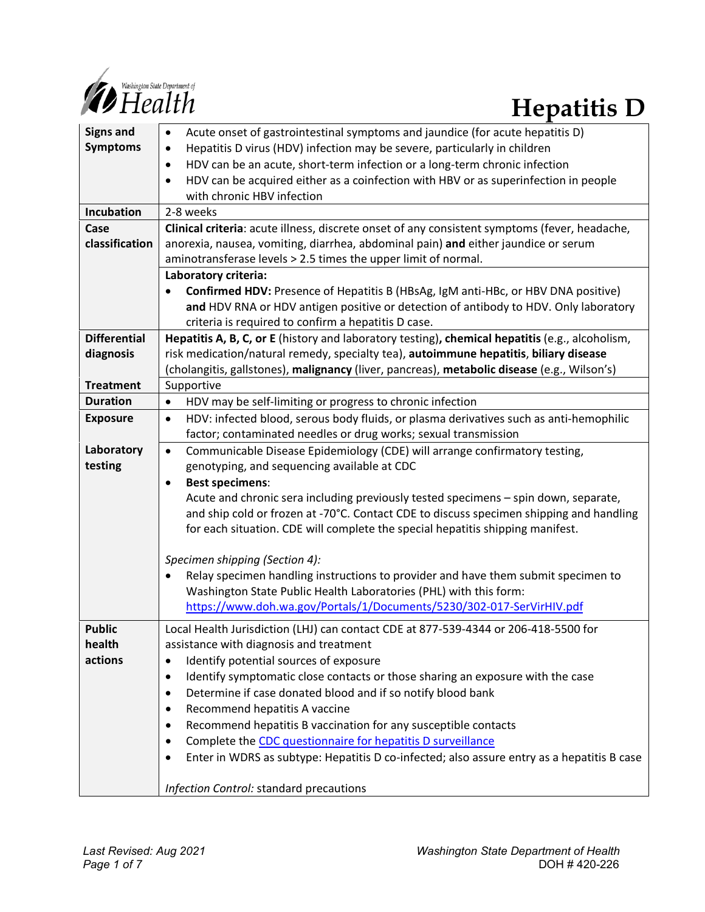

| <b>Signs and</b>    | Acute onset of gastrointestinal symptoms and jaundice (for acute hepatitis D)<br>$\bullet$          |
|---------------------|-----------------------------------------------------------------------------------------------------|
| <b>Symptoms</b>     | Hepatitis D virus (HDV) infection may be severe, particularly in children<br>$\bullet$              |
|                     | HDV can be an acute, short-term infection or a long-term chronic infection<br>$\bullet$             |
|                     | HDV can be acquired either as a coinfection with HBV or as superinfection in people<br>$\bullet$    |
|                     | with chronic HBV infection                                                                          |
| Incubation          | 2-8 weeks                                                                                           |
| Case                | Clinical criteria: acute illness, discrete onset of any consistent symptoms (fever, headache,       |
| classification      | anorexia, nausea, vomiting, diarrhea, abdominal pain) and either jaundice or serum                  |
|                     | aminotransferase levels > 2.5 times the upper limit of normal.                                      |
|                     | Laboratory criteria:                                                                                |
|                     | Confirmed HDV: Presence of Hepatitis B (HBsAg, IgM anti-HBc, or HBV DNA positive)<br>$\bullet$      |
|                     | and HDV RNA or HDV antigen positive or detection of antibody to HDV. Only laboratory                |
|                     | criteria is required to confirm a hepatitis D case.                                                 |
| <b>Differential</b> | Hepatitis A, B, C, or E (history and laboratory testing), chemical hepatitis (e.g., alcoholism,     |
| diagnosis           | risk medication/natural remedy, specialty tea), autoimmune hepatitis, biliary disease               |
|                     | (cholangitis, gallstones), malignancy (liver, pancreas), metabolic disease (e.g., Wilson's)         |
| <b>Treatment</b>    | Supportive                                                                                          |
| <b>Duration</b>     | HDV may be self-limiting or progress to chronic infection<br>$\bullet$                              |
| <b>Exposure</b>     | HDV: infected blood, serous body fluids, or plasma derivatives such as anti-hemophilic<br>$\bullet$ |
|                     | factor; contaminated needles or drug works; sexual transmission                                     |
| Laboratory          | Communicable Disease Epidemiology (CDE) will arrange confirmatory testing,<br>$\bullet$             |
| testing             | genotyping, and sequencing available at CDC                                                         |
|                     | <b>Best specimens:</b><br>$\bullet$                                                                 |
|                     | Acute and chronic sera including previously tested specimens - spin down, separate,                 |
|                     | and ship cold or frozen at -70°C. Contact CDE to discuss specimen shipping and handling             |
|                     | for each situation. CDE will complete the special hepatitis shipping manifest.                      |
|                     | Specimen shipping (Section 4):                                                                      |
|                     | Relay specimen handling instructions to provider and have them submit specimen to                   |
|                     | Washington State Public Health Laboratories (PHL) with this form:                                   |
|                     | https://www.doh.wa.gov/Portals/1/Documents/5230/302-017-SerVirHIV.pdf                               |
| <b>Public</b>       | Local Health Jurisdiction (LHJ) can contact CDE at 877-539-4344 or 206-418-5500 for                 |
| health              | assistance with diagnosis and treatment                                                             |
| actions             | Identify potential sources of exposure<br>$\bullet$                                                 |
|                     | Identify symptomatic close contacts or those sharing an exposure with the case<br>$\bullet$         |
|                     | Determine if case donated blood and if so notify blood bank<br>$\bullet$                            |
|                     | Recommend hepatitis A vaccine<br>$\bullet$                                                          |
|                     | Recommend hepatitis B vaccination for any susceptible contacts<br>$\bullet$                         |
|                     | Complete the CDC questionnaire for hepatitis D surveillance<br>$\bullet$                            |
|                     | Enter in WDRS as subtype: Hepatitis D co-infected; also assure entry as a hepatitis B case<br>٠     |
|                     |                                                                                                     |
|                     | Infection Control: standard precautions                                                             |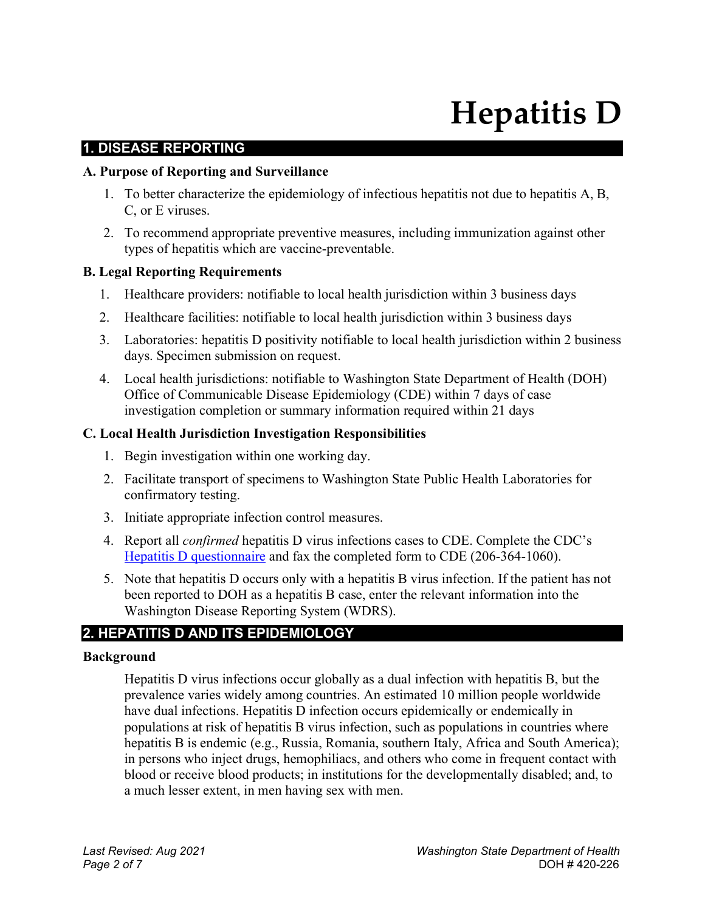# **Hepatitis D**

# **1. DISEASE REPORTING**

#### **A. Purpose of Reporting and Surveillance**

- 1. To better characterize the epidemiology of infectious hepatitis not due to hepatitis A, B, C, or E viruses.
- 2. To recommend appropriate preventive measures, including immunization against other types of hepatitis which are vaccine-preventable.

#### **B. Legal Reporting Requirements**

- 1. Healthcare providers: notifiable to local health jurisdiction within 3 business days
- 2. Healthcare facilities: notifiable to local health jurisdiction within 3 business days
- 3. Laboratories: hepatitis D positivity notifiable to local health jurisdiction within 2 business days. Specimen submission on request.
- 4. Local health jurisdictions: notifiable to Washington State Department of Health (DOH) Office of Communicable Disease Epidemiology (CDE) within 7 days of case investigation completion or summary information required within 21 days

#### **C. Local Health Jurisdiction Investigation Responsibilities**

- 1. Begin investigation within one working day.
- 2. Facilitate transport of specimens to Washington State Public Health Laboratories for confirmatory testing.
- 3. Initiate appropriate infection control measures.
- 4. Report all *confirmed* hepatitis D virus infections cases to CDE. Complete the CDC's Hepatitis D [questionnaire](https://www.cdc.gov/hepatitis/hdv/pdfs/HDMI-Questionnaire_v4.pdf) and fax the completed form to CDE (206-364-1060).
- 5. Note that hepatitis D occurs only with a hepatitis B virus infection. If the patient has not been reported to DOH as a hepatitis B case, enter the relevant information into the Washington Disease Reporting System (WDRS).

# **2. HEPATITIS D AND ITS EPIDEMIOLOGY**

#### **Background**

Hepatitis D virus infections occur globally as a dual infection with hepatitis B, but the prevalence varies widely among countries. An estimated 10 million people worldwide have dual infections. Hepatitis D infection occurs epidemically or endemically in populations at risk of hepatitis B virus infection, such as populations in countries where hepatitis B is endemic (e.g., Russia, Romania, southern Italy, Africa and South America); in persons who inject drugs, hemophiliacs, and others who come in frequent contact with blood or receive blood products; in institutions for the developmentally disabled; and, to a much lesser extent, in men having sex with men.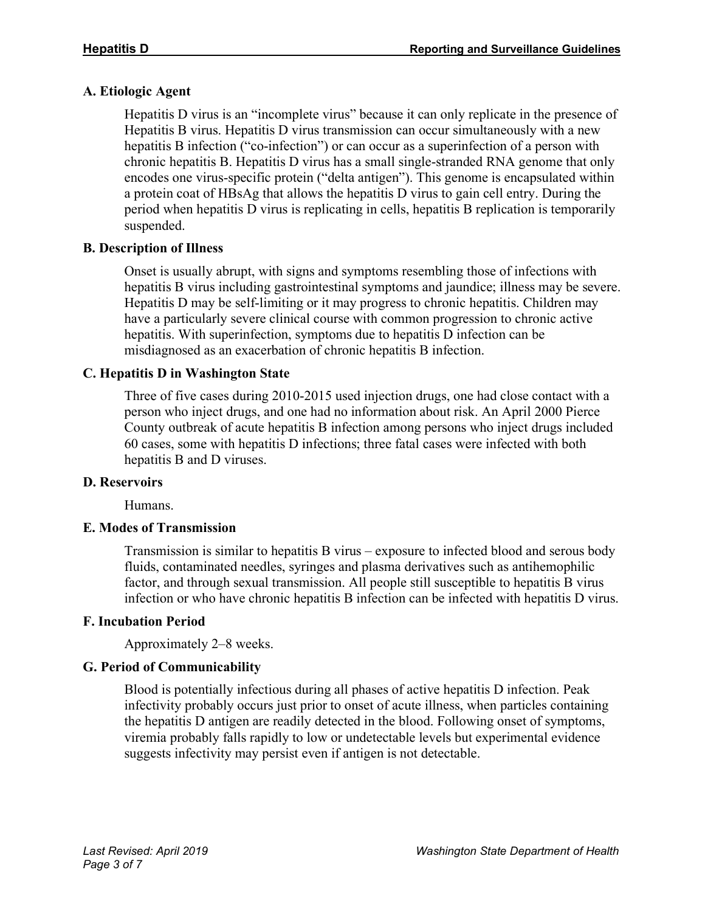# **A. Etiologic Agent**

Hepatitis D virus is an "incomplete virus" because it can only replicate in the presence of Hepatitis B virus. Hepatitis D virus transmission can occur simultaneously with a new hepatitis B infection ("co-infection") or can occur as a superinfection of a person with chronic hepatitis B. Hepatitis D virus has a small single-stranded RNA genome that only encodes one virus-specific protein ("delta antigen"). This genome is encapsulated within a protein coat of HBsAg that allows the hepatitis D virus to gain cell entry. During the period when hepatitis D virus is replicating in cells, hepatitis B replication is temporarily suspended.

# **B. Description of Illness**

Onset is usually abrupt, with signs and symptoms resembling those of infections with hepatitis B virus including gastrointestinal symptoms and jaundice; illness may be severe. Hepatitis D may be self-limiting or it may progress to chronic hepatitis. Children may have a particularly severe clinical course with common progression to chronic active hepatitis. With superinfection, symptoms due to hepatitis D infection can be misdiagnosed as an exacerbation of chronic hepatitis B infection.

# **C. Hepatitis D in Washington State**

Three of five cases during 2010-2015 used injection drugs, one had close contact with a person who inject drugs, and one had no information about risk. An April 2000 Pierce County outbreak of acute hepatitis B infection among persons who inject drugs included 60 cases, some with hepatitis D infections; three fatal cases were infected with both hepatitis B and D viruses.

# **D. Reservoirs**

Humans.

# **E. Modes of Transmission**

Transmission is similar to hepatitis B virus – exposure to infected blood and serous body fluids, contaminated needles, syringes and plasma derivatives such as antihemophilic factor, and through sexual transmission. All people still susceptible to hepatitis B virus infection or who have chronic hepatitis B infection can be infected with hepatitis D virus.

# **F. Incubation Period**

Approximately 2–8 weeks.

# **G. Period of Communicability**

Blood is potentially infectious during all phases of active hepatitis D infection. Peak infectivity probably occurs just prior to onset of acute illness, when particles containing the hepatitis D antigen are readily detected in the blood. Following onset of symptoms, viremia probably falls rapidly to low or undetectable levels but experimental evidence suggests infectivity may persist even if antigen is not detectable.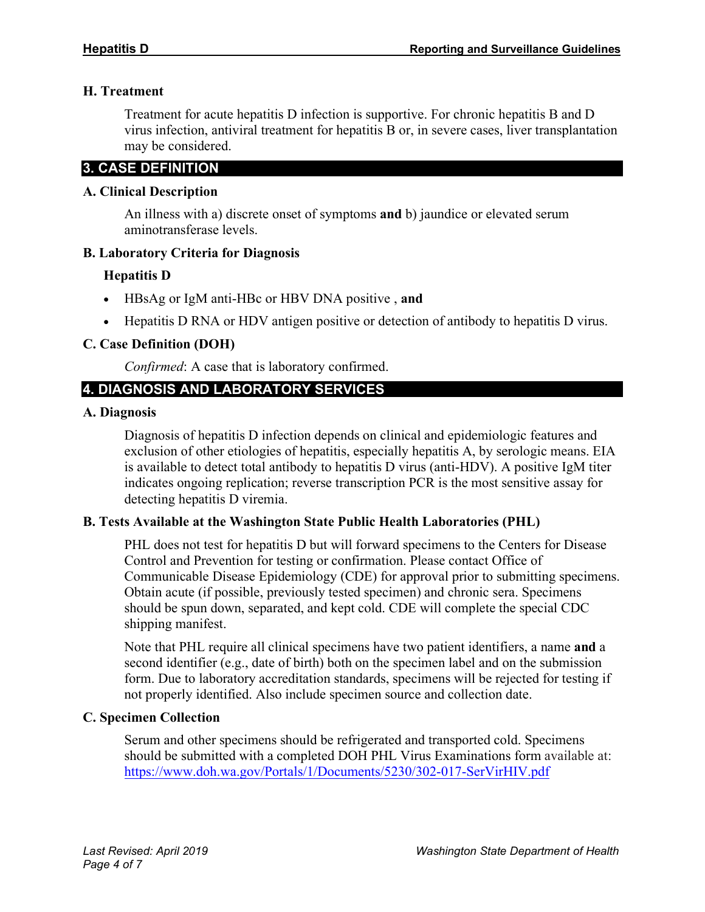# **H. Treatment**

Treatment for acute hepatitis D infection is supportive. For chronic hepatitis B and D virus infection, antiviral treatment for hepatitis B or, in severe cases, liver transplantation may be considered.

# **3. CASE DEFINITION**

#### **A. Clinical Description**

An illness with a) discrete onset of symptoms **and** b) jaundice or elevated serum aminotransferase levels.

# **B. Laboratory Criteria for Diagnosis**

# **Hepatitis D**

- HBsAg or IgM anti-HBc or HBV DNA positive , **and**
- Hepatitis D RNA or HDV antigen positive or detection of antibody to hepatitis D virus.

# **C. Case Definition (DOH)**

*Confirmed*: A case that is laboratory confirmed.

# **4. DIAGNOSIS AND LABORATORY SERVICES**

#### **A. Diagnosis**

Diagnosis of hepatitis D infection depends on clinical and epidemiologic features and exclusion of other etiologies of hepatitis, especially hepatitis A, by serologic means. EIA is available to detect total antibody to hepatitis D virus (anti-HDV). A positive IgM titer indicates ongoing replication; reverse transcription PCR is the most sensitive assay for detecting hepatitis D viremia.

# **B. Tests Available at the Washington State Public Health Laboratories (PHL)**

PHL does not test for hepatitis D but will forward specimens to the Centers for Disease Control and Prevention for testing or confirmation. Please contact Office of Communicable Disease Epidemiology (CDE) for approval prior to submitting specimens. Obtain acute (if possible, previously tested specimen) and chronic sera. Specimens should be spun down, separated, and kept cold. CDE will complete the special CDC shipping manifest.

Note that PHL require all clinical specimens have two patient identifiers, a name **and** a second identifier (e.g., date of birth) both on the specimen label and on the submission form. Due to laboratory accreditation standards, specimens will be rejected for testing if not properly identified. Also include specimen source and collection date.

# **C. Specimen Collection**

Serum and other specimens should be refrigerated and transported cold. Specimens should be submitted with a completed DOH PHL Virus Examinations form available at: <https://www.doh.wa.gov/Portals/1/Documents/5230/302-017-SerVirHIV.pdf>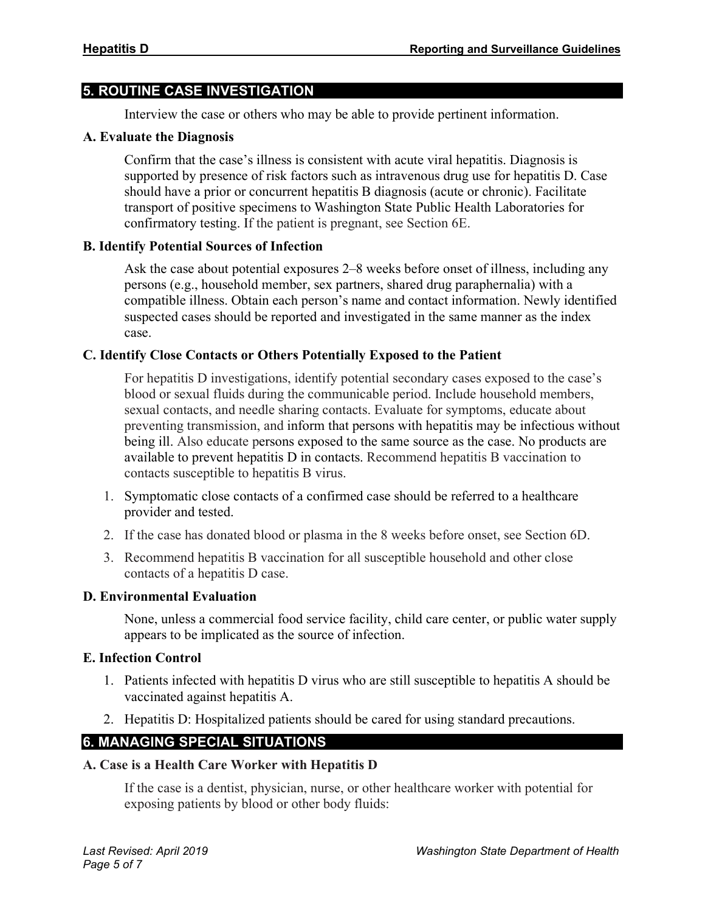# **5. ROUTINE CASE INVESTIGATION**

Interview the case or others who may be able to provide pertinent information.

#### **A. Evaluate the Diagnosis**

Confirm that the case's illness is consistent with acute viral hepatitis. Diagnosis is supported by presence of risk factors such as intravenous drug use for hepatitis D. Case should have a prior or concurrent hepatitis B diagnosis (acute or chronic). Facilitate transport of positive specimens to Washington State Public Health Laboratories for confirmatory testing. If the patient is pregnant, see Section 6E.

#### **B. Identify Potential Sources of Infection**

Ask the case about potential exposures 2–8 weeks before onset of illness, including any persons (e.g., household member, sex partners, shared drug paraphernalia) with a compatible illness. Obtain each person's name and contact information. Newly identified suspected cases should be reported and investigated in the same manner as the index case.

# **C. Identify Close Contacts or Others Potentially Exposed to the Patient**

For hepatitis D investigations, identify potential secondary cases exposed to the case's blood or sexual fluids during the communicable period. Include household members, sexual contacts, and needle sharing contacts. Evaluate for symptoms, educate about preventing transmission, and inform that persons with hepatitis may be infectious without being ill. Also educate persons exposed to the same source as the case. No products are available to prevent hepatitis D in contacts. Recommend hepatitis B vaccination to contacts susceptible to hepatitis B virus.

- 1. Symptomatic close contacts of a confirmed case should be referred to a healthcare provider and tested.
- 2. If the case has donated blood or plasma in the 8 weeks before onset, see Section 6D.
- 3. Recommend hepatitis B vaccination for all susceptible household and other close contacts of a hepatitis D case.

#### **D. Environmental Evaluation**

None, unless a commercial food service facility, child care center, or public water supply appears to be implicated as the source of infection.

#### **E. Infection Control**

- 1. Patients infected with hepatitis D virus who are still susceptible to hepatitis A should be vaccinated against hepatitis A.
- 2. Hepatitis D: Hospitalized patients should be cared for using standard precautions.

# **6. MANAGING SPECIAL SITUATIONS**

# **A. Case is a Health Care Worker with Hepatitis D**

If the case is a dentist, physician, nurse, or other healthcare worker with potential for exposing patients by blood or other body fluids: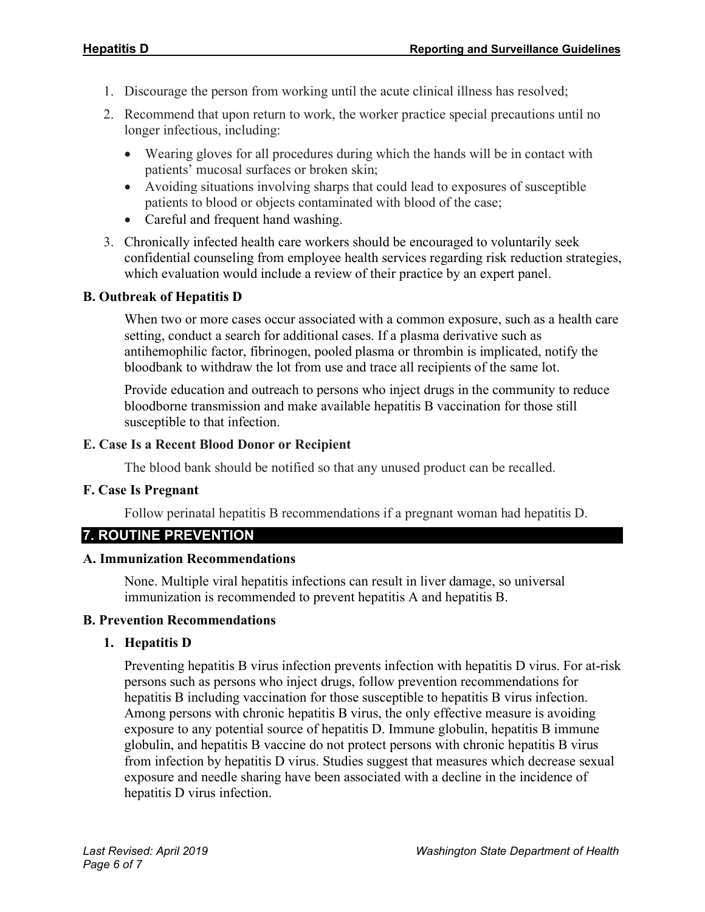- 1. Discourage the person from working until the acute clinical illness has resolved;
- 2. Recommend that upon return to work, the worker practice special precautions until no longer infectious, including:
	- Wearing gloves for all procedures during which the hands will be in contact with patients' mucosal surfaces or broken skin;
	- Avoiding situations involving sharps that could lead to exposures of susceptible patients to blood or objects contaminated with blood of the case;
	- Careful and frequent hand washing.
- 3. Chronically infected health care workers should be encouraged to voluntarily seek confidential counseling from employee health services regarding risk reduction strategies, which evaluation would include a review of their practice by an expert panel.

#### **B. Outbreak of Hepatitis D**

When two or more cases occur associated with a common exposure, such as a health care setting, conduct a search for additional cases. If a plasma derivative such as antihemophilic factor, fibrinogen, pooled plasma or thrombin is implicated, notify the bloodbank to withdraw the lot from use and trace all recipients of the same lot.

Provide education and outreach to persons who inject drugs in the community to reduce bloodborne transmission and make available hepatitis B vaccination for those still susceptible to that infection.

#### **E. Case Is a Recent Blood Donor or Recipient**

The blood bank should be notified so that any unused product can be recalled.

#### **F. Case Is Pregnant**

Follow perinatal hepatitis B recommendations if a pregnant woman had hepatitis D.

# **7. ROUTINE PREVENTION**

#### **A. Immunization Recommendations**

None. Multiple viral hepatitis infections can result in liver damage, so universal immunization is recommended to prevent hepatitis A and hepatitis B.

#### **B. Prevention Recommendations**

#### **1. Hepatitis D**

Preventing hepatitis B virus infection prevents infection with hepatitis D virus. For at-risk persons such as persons who inject drugs, follow prevention recommendations for hepatitis B including vaccination for those susceptible to hepatitis B virus infection. Among persons with chronic hepatitis B virus, the only effective measure is avoiding exposure to any potential source of hepatitis D. Immune globulin, hepatitis B immune globulin, and hepatitis B vaccine do not protect persons with chronic hepatitis B virus from infection by hepatitis D virus. Studies suggest that measures which decrease sexual exposure and needle sharing have been associated with a decline in the incidence of hepatitis D virus infection.